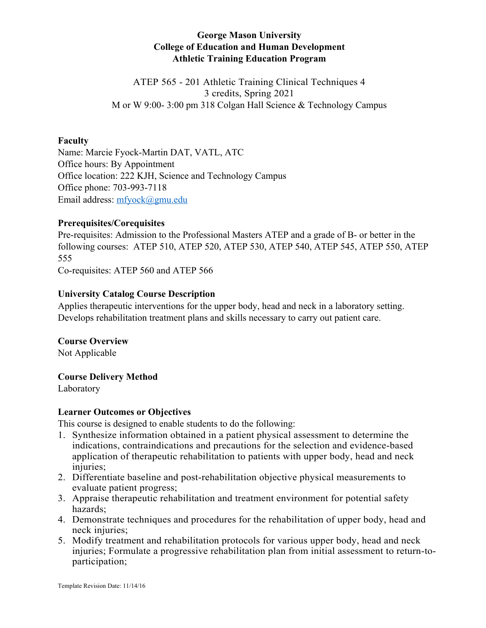# **George Mason University College of Education and Human Development Athletic Training Education Program**

ATEP 565 - 201 Athletic Training Clinical Techniques 4 3 credits, Spring 2021 M or W 9:00- 3:00 pm 318 Colgan Hall Science & Technology Campus

#### **Faculty**

Name: Marcie Fyock-Martin DAT, VATL, ATC Office hours: By Appointment Office location: 222 KJH, Science and Technology Campus Office phone: 703-993-7118 Email address: mfyock@gmu.edu

### **Prerequisites/Corequisites**

Pre-requisites: Admission to the Professional Masters ATEP and a grade of B- or better in the following courses: ATEP 510, ATEP 520, ATEP 530, ATEP 540, ATEP 545, ATEP 550, ATEP 555

Co-requisites: ATEP 560 and ATEP 566

#### **University Catalog Course Description**

Applies therapeutic interventions for the upper body, head and neck in a laboratory setting. Develops rehabilitation treatment plans and skills necessary to carry out patient care.

# **Course Overview**

Not Applicable

### **Course Delivery Method**

Laboratory

### **Learner Outcomes or Objectives**

This course is designed to enable students to do the following:

- 1. Synthesize information obtained in a patient physical assessment to determine the indications, contraindications and precautions for the selection and evidence-based application of therapeutic rehabilitation to patients with upper body, head and neck injuries;
- 2. Differentiate baseline and post-rehabilitation objective physical measurements to evaluate patient progress;
- 3. Appraise therapeutic rehabilitation and treatment environment for potential safety hazards;
- 4. Demonstrate techniques and procedures for the rehabilitation of upper body, head and neck injuries;
- 5. Modify treatment and rehabilitation protocols for various upper body, head and neck injuries; Formulate a progressive rehabilitation plan from initial assessment to return-toparticipation;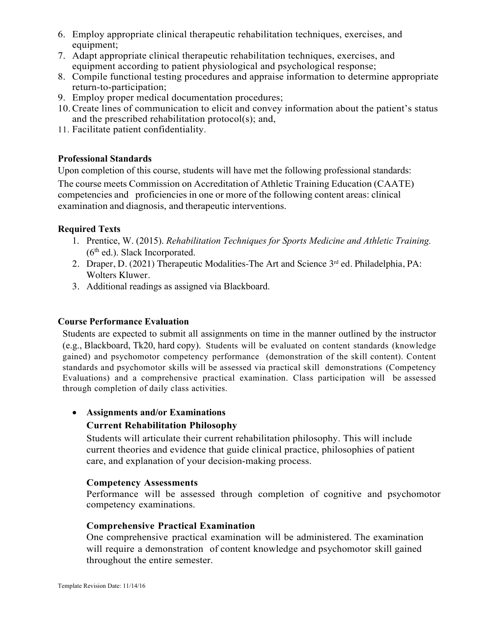- 6. Employ appropriate clinical therapeutic rehabilitation techniques, exercises, and equipment;
- 7. Adapt appropriate clinical therapeutic rehabilitation techniques, exercises, and equipment according to patient physiological and psychological response;
- 8. Compile functional testing procedures and appraise information to determine appropriate return-to-participation;
- 9. Employ proper medical documentation procedures;
- 10.Create lines of communication to elicit and convey information about the patient's status and the prescribed rehabilitation protocol(s); and,
- 11. Facilitate patient confidentiality.

### **Professional Standards**

Upon completion of this course, students will have met the following professional standards: The course meets Commission on Accreditation of Athletic Training Education (CAATE) competencies and proficiencies in one or more of the following content areas: clinical examination and diagnosis, and therapeutic interventions.

# **Required Texts**

- 1. Prentice, W. (2015). *Rehabilitation Techniques for Sports Medicine and Athletic Training.*   $(6<sup>th</sup>$  ed.). Slack Incorporated.
- 2. Draper, D. (2021) Therapeutic Modalities-The Art and Science 3<sup>rd</sup> ed. Philadelphia, PA: Wolters Kluwer.
- 3. Additional readings as assigned via Blackboard.

# **Course Performance Evaluation**

Students are expected to submit all assignments on time in the manner outlined by the instructor (e.g., Blackboard, Tk20, hard copy). Students will be evaluated on content standards (knowledge gained) and psychomotor competency performance (demonstration of the skill content). Content standards and psychomotor skills will be assessed via practical skill demonstrations (Competency Evaluations) and a comprehensive practical examination. Class participation will be assessed through completion of daily class activities.

# • **Assignments and/or Examinations**

# **Current Rehabilitation Philosophy**

Students will articulate their current rehabilitation philosophy. This will include current theories and evidence that guide clinical practice, philosophies of patient care, and explanation of your decision-making process.

### **Competency Assessments**

Performance will be assessed through completion of cognitive and psychomotor competency examinations.

### **Comprehensive Practical Examination**

One comprehensive practical examination will be administered. The examination will require a demonstration of content knowledge and psychomotor skill gained throughout the entire semester.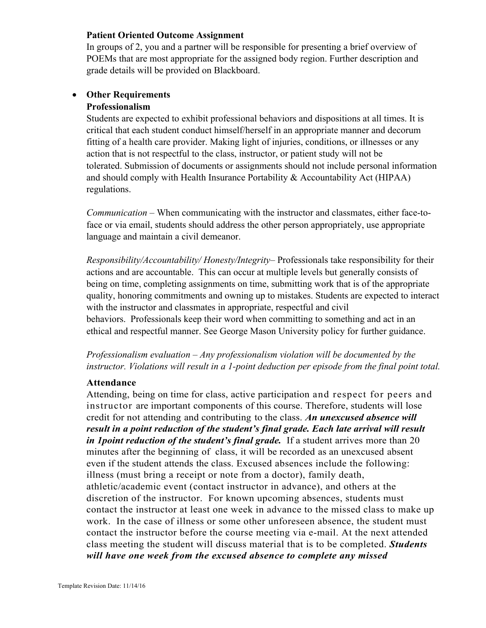### **Patient Oriented Outcome Assignment**

In groups of 2, you and a partner will be responsible for presenting a brief overview of POEMs that are most appropriate for the assigned body region. Further description and grade details will be provided on Blackboard.

### • **Other Requirements Professionalism**

Students are expected to exhibit professional behaviors and dispositions at all times. It is critical that each student conduct himself/herself in an appropriate manner and decorum fitting of a health care provider. Making light of injuries, conditions, or illnesses or any action that is not respectful to the class, instructor, or patient study will not be tolerated. Submission of documents or assignments should not include personal information and should comply with Health Insurance Portability & Accountability Act (HIPAA) regulations.

*Communication* – When communicating with the instructor and classmates, either face-toface or via email, students should address the other person appropriately, use appropriate language and maintain a civil demeanor.

*Responsibility/Accountability/ Honesty/Integrity*– Professionals take responsibility for their actions and are accountable. This can occur at multiple levels but generally consists of being on time, completing assignments on time, submitting work that is of the appropriate quality, honoring commitments and owning up to mistakes. Students are expected to interact with the instructor and classmates in appropriate, respectful and civil behaviors. Professionals keep their word when committing to something and act in an ethical and respectful manner. See George Mason University policy for further guidance.

*Professionalism evaluation – Any professionalism violation will be documented by the instructor. Violations will result in a 1-point deduction per episode from the final point total.*

### **Attendance**

Attending, being on time for class, active participation and respect for peers and instructor are important components of this course. Therefore, students will lose credit for not attending and contributing to the class. *An unexcused absence will result in a point reduction of the student's final grade. Each late arrival will result in 1 point reduction of the student's final grade.* If a student arrives more than 20 minutes after the beginning of class, it will be recorded as an unexcused absent even if the student attends the class. Excused absences include the following: illness (must bring a receipt or note from a doctor), family death, athletic/academic event (contact instructor in advance), and others at the discretion of the instructor. For known upcoming absences, students must contact the instructor at least one week in advance to the missed class to make up work. In the case of illness or some other unforeseen absence, the student must contact the instructor before the course meeting via e-mail. At the next attended class meeting the student will discuss material that is to be completed. *Students will have one week from the excused absence to complete any missed*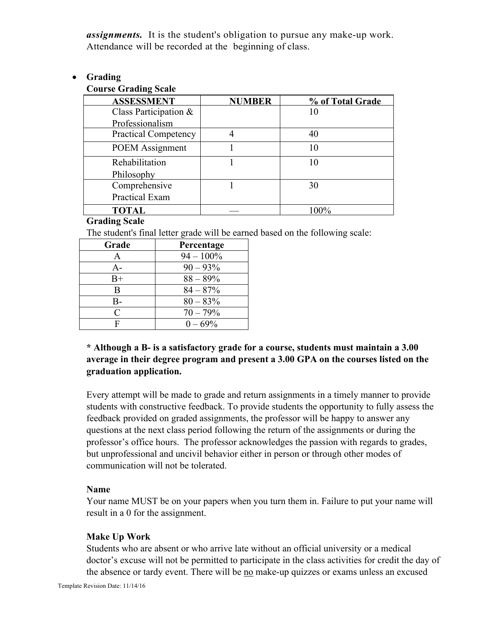*assignments.* It is the student's obligation to pursue any make-up work. Attendance will be recorded at the beginning of class.

### • **Grading**

# **Course Grading Scale**

| <b>ASSESSMENT</b>           | <b>NUMBER</b> | % of Total Grade |
|-----------------------------|---------------|------------------|
| Class Participation &       |               | 10               |
| Professionalism             |               |                  |
| <b>Practical Competency</b> |               | 40               |
| <b>POEM</b> Assignment      |               | 10               |
| Rehabilitation              |               |                  |
| Philosophy                  |               |                  |
| Comprehensive               |               | 30               |
| <b>Practical Exam</b>       |               |                  |
| <b>TOTAL</b>                |               | 100%             |

### **Grading Scale**

The student's final letter grade will be earned based on the following scale:

| Grade     | Percentage   |
|-----------|--------------|
| A         | $94 - 100\%$ |
| $A -$     | $90 - 93\%$  |
| $B+$      | $88 - 89\%$  |
| B         | $84 - 87%$   |
| В-        | $80 - 83\%$  |
| $\subset$ | $70 - 79%$   |
| F         | $0 - 69\%$   |

# **\* Although a B- is a satisfactory grade for a course, students must maintain a 3.00 average in their degree program and present a 3.00 GPA on the courses listed on the graduation application.**

Every attempt will be made to grade and return assignments in a timely manner to provide students with constructive feedback. To provide students the opportunity to fully assess the feedback provided on graded assignments, the professor will be happy to answer any questions at the next class period following the return of the assignments or during the professor's office hours. The professor acknowledges the passion with regards to grades, but unprofessional and uncivil behavior either in person or through other modes of communication will not be tolerated.

### **Name**

Your name MUST be on your papers when you turn them in. Failure to put your name will result in a 0 for the assignment.

### **Make Up Work**

Students who are absent or who arrive late without an official university or a medical doctor's excuse will not be permitted to participate in the class activities for credit the day of the absence or tardy event. There will be no make-up quizzes or exams unless an excused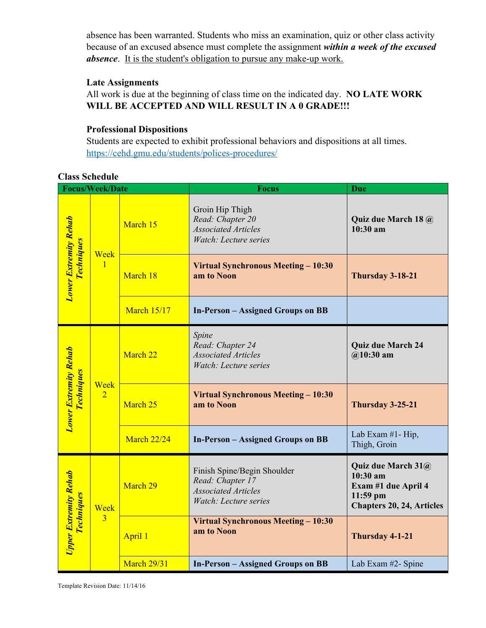absence has been warranted. Students who miss an examination, quiz or other class activity because of an excused absence must complete the assignment *within a week of the excused absence*. It is the student's obligation to pursue any make-up work.

### **Late Assignments**

All work is due at the beginning of class time on the indicated day. **NO LATE WORK WILL BE ACCEPTED AND WILL RESULT IN A 0 GRADE!!!**

# **Professional Dispositions**

Students are expected to exhibit professional behaviors and dispositions at all times. https://cehd.gmu.edu/students/polices-procedures/

**Class Schedule**

| <b>Focus/Week/Date</b>                            |                        |                    | <b>Focus</b>                                                                                           | <b>Due</b>                                                                                                |
|---------------------------------------------------|------------------------|--------------------|--------------------------------------------------------------------------------------------------------|-----------------------------------------------------------------------------------------------------------|
| <b>Lower Extremity Rehab</b><br><b>Techniques</b> | Week<br>$\mathbf{1}$   | March 15           | Groin Hip Thigh<br>Read: Chapter 20<br><b>Associated Articles</b><br>Watch: Lecture series             | Quiz due March 18 @<br>$10:30$ am                                                                         |
|                                                   |                        | March 18           | <b>Virtual Synchronous Meeting - 10:30</b><br>am to Noon                                               | Thursday 3-18-21                                                                                          |
|                                                   |                        | <b>March 15/17</b> | <b>In-Person - Assigned Groups on BB</b>                                                               |                                                                                                           |
| <b>Lower Extremity Rehab</b><br><b>Techniques</b> | Week<br>$\overline{2}$ | March 22           | Spine<br>Read: Chapter 24<br><b>Associated Articles</b><br>Watch: Lecture series                       | <b>Quiz due March 24</b><br>$@10:30$ am                                                                   |
|                                                   |                        | March 25           | Virtual Synchronous Meeting - 10:30<br>am to Noon                                                      | Thursday 3-25-21                                                                                          |
|                                                   |                        | <b>March 22/24</b> | <b>In-Person - Assigned Groups on BB</b>                                                               | Lab Exam #1- Hip,<br>Thigh, Groin                                                                         |
| <b>Upper Extremity Rehab</b><br><b>Techniques</b> | Week<br>3              | March 29           | Finish Spine/Begin Shoulder<br>Read: Chapter 17<br><b>Associated Articles</b><br>Watch: Lecture series | Quiz due March 31@<br>$10:30$ am<br>Exam #1 due April 4<br>$11:59$ pm<br><b>Chapters 20, 24, Articles</b> |
|                                                   |                        | April 1            | Virtual Synchronous Meeting - 10:30<br>am to Noon                                                      | Thursday 4-1-21                                                                                           |
|                                                   |                        | <b>March 29/31</b> | <b>In-Person - Assigned Groups on BB</b>                                                               | Lab Exam #2- Spine                                                                                        |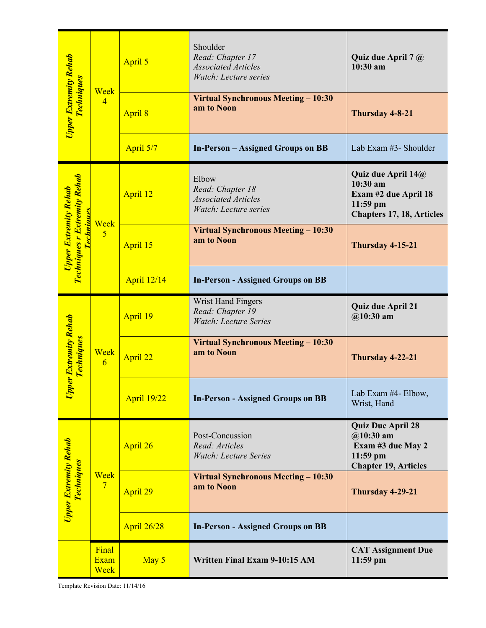| Upper Extremity Rehab<br><b>Techniques</b>                                               | Week<br>$\overline{4}$       | April 5            | Shoulder<br>Read: Chapter 17<br><b>Associated Articles</b><br>Watch: Lecture series | Quiz due April 7 @<br>10:30 am                                                                           |
|------------------------------------------------------------------------------------------|------------------------------|--------------------|-------------------------------------------------------------------------------------|----------------------------------------------------------------------------------------------------------|
|                                                                                          |                              | April 8            | Virtual Synchronous Meeting – 10:30<br>am to Noon                                   | Thursday 4-8-21                                                                                          |
|                                                                                          |                              | April 5/7          | <b>In-Person</b> – Assigned Groups on BB                                            | Lab Exam #3- Shoulder                                                                                    |
| <b>Techniques r Extremity Rehab</b><br><b>Upper Extremity Rehab</b><br><u> Technique</u> | Week<br>$\overline{5}$       | April 12           | Elbow<br>Read: Chapter 18<br><b>Associated Articles</b><br>Watch: Lecture series    | Quiz due April 14@<br>10:30 am<br>Exam #2 due April 18<br>$11:59$ pm<br><b>Chapters 17, 18, Articles</b> |
|                                                                                          |                              | April 15           | Virtual Synchronous Meeting – 10:30<br>am to Noon                                   | Thursday 4-15-21                                                                                         |
|                                                                                          |                              | <b>April 12/14</b> | <b>In-Person - Assigned Groups on BB</b>                                            |                                                                                                          |
| per Extremity Rehab<br><b>Techniques</b><br>$\bar{p}$                                    | Week<br>6                    | April 19           | Wrist Hand Fingers<br>Read: Chapter 19<br><b>Watch: Lecture Series</b>              | <b>Quiz due April 21</b><br>$@10:30$ am                                                                  |
|                                                                                          |                              | April 22           | <b>Virtual Synchronous Meeting - 10:30</b><br>am to Noon                            | Thursday 4-22-21                                                                                         |
|                                                                                          |                              | <b>April 19/22</b> | <b>In-Person - Assigned Groups on BB</b>                                            | Lab Exam #4- Elbow,<br>Wrist, Hand                                                                       |
| Upper Extremity Rehab<br><b>Techniques</b>                                               | Week<br>7                    | April 26           | Post-Concussion<br>Read: Articles<br><b>Watch: Lecture Series</b>                   | <b>Quiz Due April 28</b><br>$@10:30$ am<br>Exam #3 due May 2<br>11:59 pm<br><b>Chapter 19, Articles</b>  |
|                                                                                          |                              | April 29           | Virtual Synchronous Meeting - 10:30<br>am to Noon                                   | Thursday 4-29-21                                                                                         |
|                                                                                          |                              | <b>April 26/28</b> | <b>In-Person - Assigned Groups on BB</b>                                            |                                                                                                          |
| Template Revision Date: 11/14/16                                                         | Final<br><b>Exam</b><br>Week | May 5              | Written Final Exam 9-10:15 AM                                                       | <b>CAT Assignment Due</b><br>$11:59$ pm                                                                  |

Template Revision Date: 11/14/16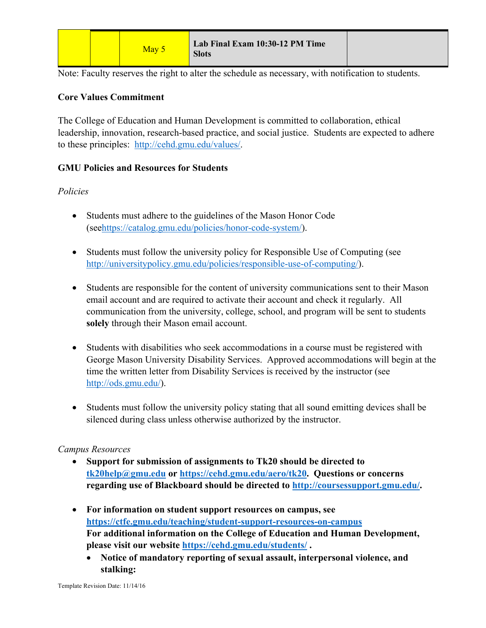|  |  | May 5 | Lab Final Exam 10:30-12 PM Time<br><b>Slots</b> |  |
|--|--|-------|-------------------------------------------------|--|
|--|--|-------|-------------------------------------------------|--|

Note: Faculty reserves the right to alter the schedule as necessary, with notification to students.

### **Core Values Commitment**

The College of Education and Human Development is committed to collaboration, ethical leadership, innovation, research-based practice, and social justice. Students are expected to adhere to these principles: http://cehd.gmu.edu/values/.

### **GMU Policies and Resources for Students**

### *Policies*

- Students must adhere to the guidelines of the Mason Honor Code (seehttps://catalog.gmu.edu/policies/honor-code-system/).
- Students must follow the university policy for Responsible Use of Computing (see http://universitypolicy.gmu.edu/policies/responsible-use-of-computing/).
- Students are responsible for the content of university communications sent to their Mason email account and are required to activate their account and check it regularly. All communication from the university, college, school, and program will be sent to students **solely** through their Mason email account.
- Students with disabilities who seek accommodations in a course must be registered with George Mason University Disability Services. Approved accommodations will begin at the time the written letter from Disability Services is received by the instructor (see http://ods.gmu.edu/).
- Students must follow the university policy stating that all sound emitting devices shall be silenced during class unless otherwise authorized by the instructor.

### *Campus Resources*

- **Support for submission of assignments to Tk20 should be directed to tk20help@gmu.edu or https://cehd.gmu.edu/aero/tk20. Questions or concerns regarding use of Blackboard should be directed to http://coursessupport.gmu.edu/.**
- **For information on student support resources on campus, see https://ctfe.gmu.edu/teaching/student-support-resources-on-campus For additional information on the College of Education and Human Development, please visit our website https://cehd.gmu.edu/students/ .**
	- **Notice of mandatory reporting of sexual assault, interpersonal violence, and stalking:**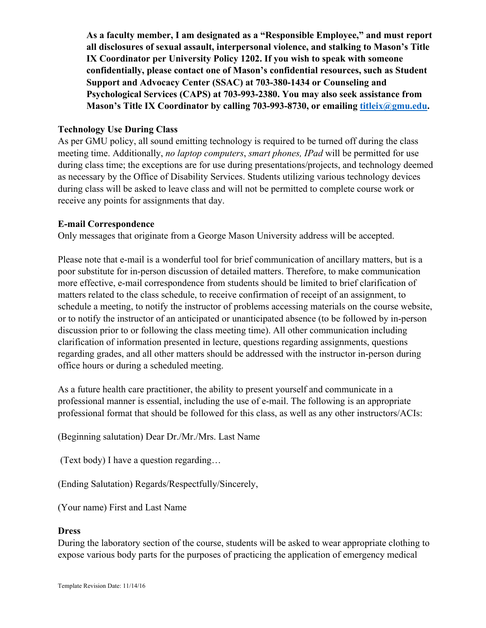**As a faculty member, I am designated as a "Responsible Employee," and must report all disclosures of sexual assault, interpersonal violence, and stalking to Mason's Title IX Coordinator per University Policy 1202. If you wish to speak with someone confidentially, please contact one of Mason's confidential resources, such as Student Support and Advocacy Center (SSAC) at 703-380-1434 or Counseling and Psychological Services (CAPS) at 703-993-2380. You may also seek assistance from Mason's Title IX Coordinator by calling 703-993-8730, or emailing titleix@gmu.edu.**

### **Technology Use During Class**

As per GMU policy, all sound emitting technology is required to be turned off during the class meeting time. Additionally, *no laptop computers*, *smart phones, IPad* will be permitted for use during class time; the exceptions are for use during presentations/projects, and technology deemed as necessary by the Office of Disability Services. Students utilizing various technology devices during class will be asked to leave class and will not be permitted to complete course work or receive any points for assignments that day.

### **E-mail Correspondence**

Only messages that originate from a George Mason University address will be accepted.

Please note that e-mail is a wonderful tool for brief communication of ancillary matters, but is a poor substitute for in-person discussion of detailed matters. Therefore, to make communication more effective, e-mail correspondence from students should be limited to brief clarification of matters related to the class schedule, to receive confirmation of receipt of an assignment, to schedule a meeting, to notify the instructor of problems accessing materials on the course website, or to notify the instructor of an anticipated or unanticipated absence (to be followed by in-person discussion prior to or following the class meeting time). All other communication including clarification of information presented in lecture, questions regarding assignments, questions regarding grades, and all other matters should be addressed with the instructor in-person during office hours or during a scheduled meeting.

As a future health care practitioner, the ability to present yourself and communicate in a professional manner is essential, including the use of e-mail. The following is an appropriate professional format that should be followed for this class, as well as any other instructors/ACIs:

(Beginning salutation) Dear Dr./Mr./Mrs. Last Name

(Text body) I have a question regarding…

(Ending Salutation) Regards/Respectfully/Sincerely,

(Your name) First and Last Name

### **Dress**

During the laboratory section of the course, students will be asked to wear appropriate clothing to expose various body parts for the purposes of practicing the application of emergency medical